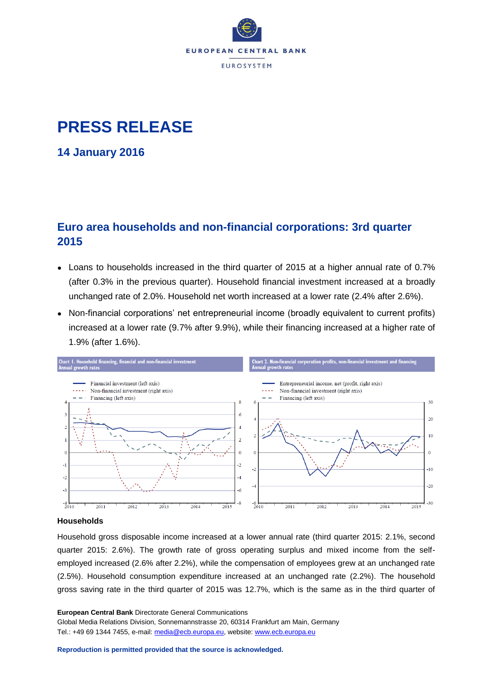

# **PRESS RELEASE**

**14 January 2016**

## **Euro area households and non-financial corporations: 3rd quarter 2015**

- Loans to households increased in the third quarter of 2015 at a higher annual rate of 0.7% (after 0.3% in the previous quarter). Household financial investment increased at a broadly unchanged rate of 2.0%. Household net worth increased at a lower rate (2.4% after 2.6%).
- Non-financial corporations' net entrepreneurial income (broadly equivalent to current profits) increased at a lower rate (9.7% after 9.9%), while their financing increased at a higher rate of 1.9% (after 1.6%).



### **Households**

Household gross disposable income increased at a lower annual rate (third quarter 2015: 2.1%, second quarter 2015: 2.6%). The growth rate of gross operating surplus and mixed income from the selfemployed increased (2.6% after 2.2%), while the compensation of employees grew at an unchanged rate (2.5%). Household consumption expenditure increased at an unchanged rate (2.2%). The household gross saving rate in the third quarter of 2015 was 12.7%, which is the same as in the third quarter of

**European Central Bank** Directorate General Communications Global Media Relations Division, Sonnemannstrasse 20, 60314 Frankfurt am Main, Germany Tel.: +49 69 1344 7455, e-mail: [media@ecb.europa.eu,](mailto:media@ecb.europa.eu) website[: www.ecb.europa.eu](http://www.ecb.europa.eu/)

**Reproduction is permitted provided that the source is acknowledged.**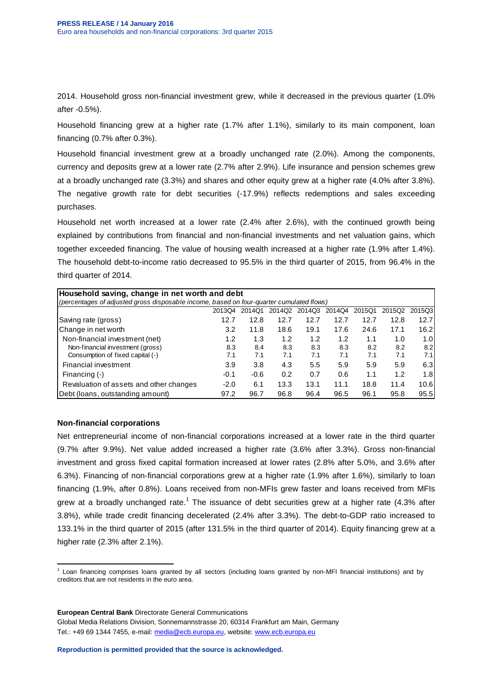2014. Household gross non-financial investment grew, while it decreased in the previous quarter (1.0% after -0.5%).

Household financing grew at a higher rate (1.7% after 1.1%), similarly to its main component, loan financing (0.7% after 0.3%).

Household financial investment grew at a broadly unchanged rate (2.0%). Among the components, currency and deposits grew at a lower rate (2.7% after 2.9%). Life insurance and pension schemes grew at a broadly unchanged rate (3.3%) and shares and other equity grew at a higher rate (4.0% after 3.8%). The negative growth rate for debt securities (-17.9%) reflects redemptions and sales exceeding purchases.

Household net worth increased at a lower rate (2.4% after 2.6%), with the continued growth being explained by contributions from financial and non-financial investments and net valuation gains, which together exceeded financing. The value of housing wealth increased at a higher rate (1.9% after 1.4%). The household debt-to-income ratio decreased to 95.5% in the third quarter of 2015, from 96.4% in the third quarter of 2014.

| Household saving, change in net worth and debt                                           |        |        |        |        |        |        |        |        |  |  |  |  |
|------------------------------------------------------------------------------------------|--------|--------|--------|--------|--------|--------|--------|--------|--|--|--|--|
| (percentages of adjusted gross disposable income, based on four-quarter cumulated flows) |        |        |        |        |        |        |        |        |  |  |  |  |
|                                                                                          | 201304 | 2014Q1 | 2014Q2 | 2014Q3 | 2014Q4 | 2015Q1 | 2015Q2 | 2015Q3 |  |  |  |  |
| Saving rate (gross)                                                                      | 12.7   | 12.8   | 12.7   | 12.7   | 12.7   | 12.7   | 12.8   | 12.7   |  |  |  |  |
| Change in net worth                                                                      | 3.2    | 11.8   | 18.6   | 19.1   | 17.6   | 24.6   | 17.1   | 16.2   |  |  |  |  |
| Non-financial investment (net)                                                           | 1.2    | 1.3    | 1.2    | 1.2    | 1.2    | 1.1    | 1.0    | 1.0    |  |  |  |  |
| Non-financial investment (gross)                                                         | 8.3    | 8.4    | 8.3    | 8.3    | 8.3    | 8.2    | 8.2    | 8.2    |  |  |  |  |
| Consumption of fixed capital (-)                                                         | 7.1    | 7.1    | 7.1    | 7.1    | 7.1    | 7.1    | 7.1    | 7.1    |  |  |  |  |
| Financial investment                                                                     | 3.9    | 3.8    | 4.3    | 5.5    | 5.9    | 5.9    | 5.9    | 6.3    |  |  |  |  |
| Financing (-)                                                                            | $-0.1$ | $-0.6$ | 0.2    | 0.7    | 0.6    | 1.1    | 1.2    | 1.8    |  |  |  |  |
| Revaluation of assets and other changes                                                  | $-2.0$ | 6.1    | 13.3   | 13.1   | 11.1   | 18.8   | 11.4   | 10.6   |  |  |  |  |
| Debt (Ioans, outstanding amount)                                                         | 97.2   | 96.7   | 96.8   | 96.4   | 96.5   | 96.1   | 95.8   | 95.5   |  |  |  |  |

### **Non-financial corporations**

Net entrepreneurial income of non-financial corporations increased at a lower rate in the third quarter (9.7% after 9.9%). Net value added increased a higher rate (3.6% after 3.3%). Gross non-financial investment and gross fixed capital formation increased at lower rates (2.8% after 5.0%, and 3.6% after 6.3%). Financing of non-financial corporations grew at a higher rate (1.9% after 1.6%), similarly to loan financing (1.9%, after 0.8%). Loans received from non-MFIs grew faster and loans received from MFIs grew at a broadly unchanged rate.<sup>1</sup> The issuance of debt securities grew at a higher rate (4.3% after 3.8%), while trade credit financing decelerated (2.4% after 3.3%). The debt-to-GDP ratio increased to 133.1% in the third quarter of 2015 (after 131.5% in the third quarter of 2014). Equity financing grew at a higher rate (2.3% after 2.1%).

**European Central Bank** Directorate General Communications

 1 Loan financing comprises loans granted by all sectors (including loans granted by non-MFI financial institutions) and by creditors that are not residents in the euro area.

Global Media Relations Division, Sonnemannstrasse 20, 60314 Frankfurt am Main, Germany Tel.: +49 69 1344 7455, e-mail: [media@ecb.europa.eu,](mailto:media@ecb.europa.eu) website[: www.ecb.europa.eu](http://www.ecb.europa.eu/)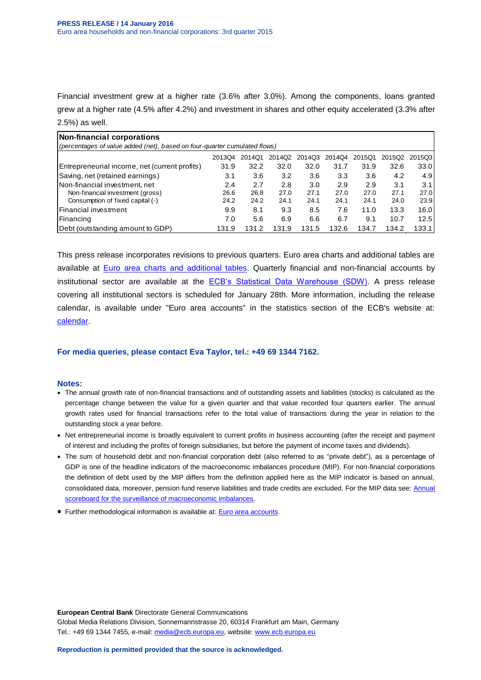Financial investment grew at a higher rate (3.6% after 3.0%). Among the components, loans granted grew at a higher rate (4.5% after 4.2%) and investment in shares and other equity accelerated (3.3% after 2.5%) as well.

| Non-financial corporations                                                   |       |       |       |       |       |       |       |       |  |  |  |  |  |
|------------------------------------------------------------------------------|-------|-------|-------|-------|-------|-------|-------|-------|--|--|--|--|--|
| (percentages of value added (net), based on four-quarter cumulated flows)    |       |       |       |       |       |       |       |       |  |  |  |  |  |
| 2015Q3<br>2013Q4<br>2014Q2<br>2014Q1<br>2015Q1<br>2015Q2<br>2014Q3<br>2014Q4 |       |       |       |       |       |       |       |       |  |  |  |  |  |
| Entrepreneurial income, net (current profits)                                | 31.9  | 32.2  | 32.0  | 32.0  | 31.7  | 31.9  | 32.6  | 33.0  |  |  |  |  |  |
| Saving, net (retained earnings)                                              | 3.1   | 3.6   | 3.2   | 3.6   | 3.3   | 3.6   | 4.2   | 4.9   |  |  |  |  |  |
| Non-financial investment, net                                                | 2.4   | 2.7   | 2.8   | 3.0   | 2.9   | 2.9   | 3.1   | 3.1   |  |  |  |  |  |
| Non-financial investment (gross)                                             | 26.6  | 26.8  | 27.0  | 27.1  | 27.0  | 27.0  | 27.1  | 27.0  |  |  |  |  |  |
| Consumption of fixed capital (-)                                             | 24.2  | 24.2  | 24.1  | 24.1  | 24.1  | 24.1  | 24.0  | 23.9  |  |  |  |  |  |
| lFinancial investment                                                        | 9.9   | 8.1   | 9.3   | 8.5   | 7.6   | 11.0  | 13.3  | 16.0I |  |  |  |  |  |
| Financing                                                                    | 7.0   | 5.6   | 6.9   | 6.6   | 6.7   | 9.1   | 10.7  | 12.5  |  |  |  |  |  |
| (Debt (outstanding amount to GDP)                                            | 131.9 | 131.2 | 131.9 | 131.5 | 132.6 | 134.7 | 134.2 | 133.1 |  |  |  |  |  |

This press release incorporates revisions to previous quarters. Euro area charts and additional tables are available at **Euro area charts and additional tables**. Quarterly financial and non-financial accounts by institutional sector are available at the [ECB's Statistical Data Warehouse \(SDW\).](http://sdw.ecb.europa.eu/browse.do?node=2019181) A press release covering all institutional sectors is scheduled for January 28th. More information, including the release calendar, is available under "Euro area accounts" in the statistics section of the ECB's website at: [calendar.](http://www.ecb.europa.eu/press/calendars/statscal/eaa/html/index.en.html)

### **For media queries, please contact Eva Taylor, tel.: +49 69 1344 7162.**

### **Notes:**

- The annual growth rate of non-financial transactions and of outstanding assets and liabilities (stocks) is calculated as the percentage change between the value for a given quarter and that value recorded four quarters earlier. The annual growth rates used for financial transactions refer to the total value of transactions during the year in relation to the outstanding stock a year before.
- Net entrepreneurial income is broadly equivalent to current profits in business accounting (after the receipt and payment of interest and including the profits of foreign subsidiaries, but before the payment of income taxes and dividends).
- The sum of household debt and non-financial corporation debt (also referred to as "private debt"), as a percentage of GDP is one of the headline indicators of the macroeconomic imbalances procedure (MIP). For non-financial corporations the definition of debt used by the MIP differs from the definition applied here as the MIP indicator is based on annual, consolidated data, moreover, pension fund reserve liabilities and trade credits are excluded. For the MIP data see: [Annual](http://sdw.ecb.europa.eu/reports.do?node=1000004048)  [scoreboard for the surveillance of macroeconomic imbalances.](http://sdw.ecb.europa.eu/reports.do?node=1000004048)
- **Further methodological information is available at: [Euro area accounts.](http://www.ecb.europa.eu/stats/acc/html/index.en.html)**

**European Central Bank** Directorate General Communications Global Media Relations Division, Sonnemannstrasse 20, 60314 Frankfurt am Main, Germany Tel.: +49 69 1344 7455, e-mail: [media@ecb.europa.eu,](mailto:media@ecb.europa.eu) website[: www.ecb.europa.eu](http://www.ecb.europa.eu/)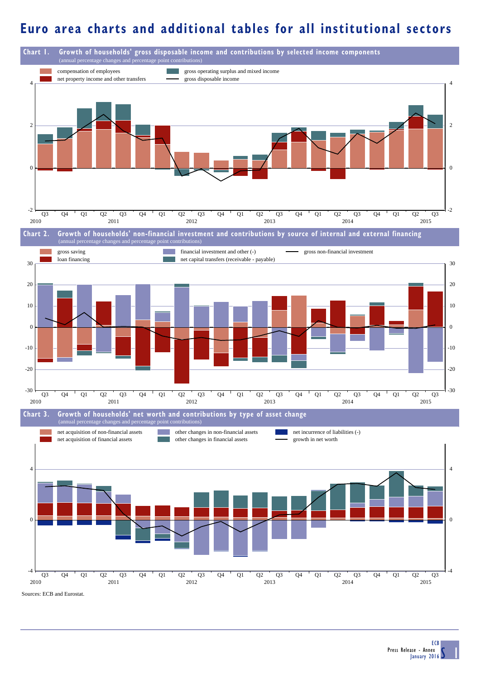## **Euro area charts and additional tables for all institutional sectors**

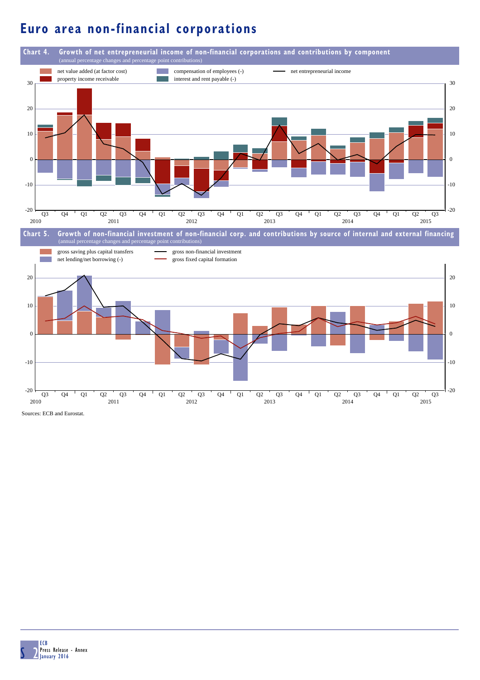# **Euro area non-financial corporations**



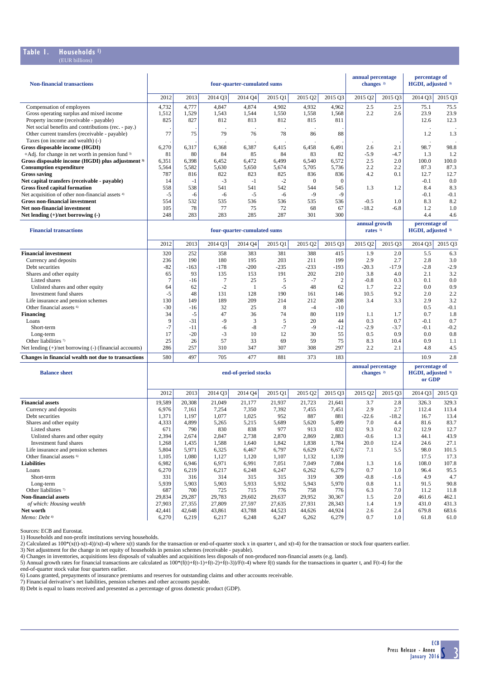### **Table 1. Households 1)** (EUR billions)

| <b>Non-financial transactions</b>                                                                                                         |                             |                |                | four-quarter-cumulated sums |               |                                      | annual percentage<br>percentage of<br>changes <sup>2)</sup><br>HGDI, adjusted 3) |                                    |                             |               |               |
|-------------------------------------------------------------------------------------------------------------------------------------------|-----------------------------|----------------|----------------|-----------------------------|---------------|--------------------------------------|----------------------------------------------------------------------------------|------------------------------------|-----------------------------|---------------|---------------|
|                                                                                                                                           | 2012                        | 2013           | 2014 Q3        | 2014 Q4                     | 2015 Q1       | 2015 Q2                              | 2015 Q3                                                                          | 2015 Q2                            | 2015 Q3                     | 2014 Q3       | 2015 Q3       |
| Compensation of employees                                                                                                                 | 4,732                       | 4,777          | 4,847          | 4,874                       | 4,902         | 4,932                                | 4,962                                                                            | 2.5                                | 2.5                         | 75.1          | 75.5          |
| Gross operating surplus and mixed income                                                                                                  | 1,512                       | 1,529          | 1,543          | 1,544                       | 1,550         | 1,558                                | 1,568                                                                            | 2.2                                | 2.6                         | 23.9          | 23.9          |
| Property income (receivable - payable)                                                                                                    | 825                         | 827            | 812            | 813                         | 812           | 815                                  | 811                                                                              |                                    |                             | 12.6          | 12.3          |
| Net social benefits and contributions (rec. - pay.)<br>Other current transfers (receivable - payable)<br>Taxes (on income and wealth) (-) | 77                          | 75             | 79             | 76                          | $\cdot$<br>78 | 86                                   | 88                                                                               |                                    |                             | 1.2           | 1.3           |
| Gross disposable income (HGDI)                                                                                                            | 6,270                       | 6,317          | 6,368          | 6,387                       | 6,415         | 6,458                                | 6,491                                                                            | 2.6                                | 2.1                         | 98.7          | 98.8          |
| $+A$ dj. for change in net worth in pension fund $3$                                                                                      | 81                          | 80             | 84             | 85                          | 84            | 83                                   | 82                                                                               | $-5.9$                             | -4.7                        | 1.3           | 1.2           |
| Gross disposable income (HGDI) plus adjustment 3)                                                                                         | 6,351                       | 6,398          | 6,452          | 6,472                       | 6,499         | 6,540                                | 6,572                                                                            | 2.5                                | 2.0                         | 100.0         | 100.0         |
| <b>Consumption expenditure</b>                                                                                                            | 5,564                       | 5,582          | 5,630          | 5,650                       | 5,674         | 5,705                                | 5,736                                                                            | 2.2                                | 2.2                         | 87.3          | 87.3          |
| <b>Gross saving</b>                                                                                                                       | 787                         | 816            | 822            | 823                         | 825           | 836                                  | 836                                                                              | 4.2                                | 0.1                         | 12.7          | 12.7          |
| Net capital transfers (receivable - payable)                                                                                              | 14                          | $-1$<br>538    | $-3$<br>541    | $-1$                        | $-2$<br>542   | $\theta$<br>544                      | $\mathbf{0}$<br>545                                                              |                                    |                             | $-0.1$<br>8.4 | 0.0           |
| <b>Gross fixed capital formation</b><br>Net acquisition of other non-financial assets 4)                                                  | 558<br>$-5$                 | -6             | -6             | 541<br>$-5$                 | -6            | $-9$                                 | -9                                                                               | 1.3                                | 1.2                         | $-0.1$        | 8.3<br>$-0.1$ |
| Gross non-financial investment                                                                                                            | 554                         | 532            | 535            | 536                         | 536           | 535                                  | 536                                                                              | $-0.5$                             | 1.0                         | 8.3           | 8.2           |
| Net non-financial investment                                                                                                              | 105                         | 78             | 77             | 75                          | 72            | 68                                   | 67                                                                               | $-18.2$                            | $-6.8$                      | 1.2           | 1.0           |
| Net lending $(+)/$ net borrowing $(-)$                                                                                                    | 248                         | 283            | 283            | 285                         | 287           | 301                                  | 300                                                                              |                                    |                             | 4.4           | 4.6           |
| <b>Financial transactions</b>                                                                                                             | four-quarter-cumulated sums |                |                |                             |               | annual growth<br>rates <sup>5)</sup> |                                                                                  | percentage of<br>HGDI, adjusted 3) |                             |               |               |
|                                                                                                                                           | 2012                        | 2013           | 2014 Q3        | 2014 Q4                     | 2015 Q1       | 2015 Q2                              | 2015 Q3                                                                          | 2015 Q2                            | 2015 Q3                     | 2014 Q3       | 2015 Q3       |
| <b>Financial investment</b>                                                                                                               | 320                         | 252            | 358            | 383                         | 381           | 388                                  | 415                                                                              | 1.9                                | 2.0                         | 5.5           | 6.3           |
| Currency and deposits                                                                                                                     | 236                         | 190            | 180            | 195                         | 203           | 211                                  | 199                                                                              | 2.9                                | 2.7                         | 2.8           | 3.0           |
| Debt securities                                                                                                                           | $-82$                       | $-163$         | $-178$         | $-200$                      | $-235$        | $-233$                               | $-193$                                                                           | $-20.3$                            | $-17.9$                     | $-2.8$        | $-2.9$        |
| Shares and other equity                                                                                                                   | 65                          | 93             | 135            | 153                         | 191           | 202                                  | 210                                                                              | 3.8                                | 4.0                         | 2.1           | 3.2           |
| Listed shares                                                                                                                             | $\tau$                      | -16            | $\tau$         | 25                          | 5<br>$-5$     | $-7$                                 | $\boldsymbol{2}$                                                                 | $-0.8$                             | 0.3                         | 0.1<br>0.0    | 0.0           |
| Unlisted shares and other equity<br>Investment fund shares                                                                                | 64<br>$-5$                  | 62<br>48       | $-2$<br>131    | -1<br>128                   | 190           | 48<br>161                            | 62<br>146                                                                        | 1.7<br>10.5                        | 2.2<br>9.2                  | 2.0           | 0.9<br>2.2    |
| Life insurance and pension schemes                                                                                                        | 130                         | 149            | 189            | 209                         | 214           | 212                                  | 208                                                                              | 3.4                                | 3.3                         | 2.9           | 3.2           |
| Other financial assets <sup>6)</sup>                                                                                                      | $-30$                       | -16            | 32             | 25                          | 8             | $-4$                                 | $-10$                                                                            |                                    |                             | 0.5           | $-0.1$        |
| <b>Financing</b>                                                                                                                          | 34                          | $-5$           | 47             | 36                          | 74            | 80                                   | 119                                                                              | 1.1                                | 1.7                         | 0.7           | 1.8           |
| Loans                                                                                                                                     | 9                           | $-31$          | $-9$           | 3                           | 5             | 20                                   | 44                                                                               | 0.3                                | 0.7                         | $-0.1$        | 0.7           |
| Short-term                                                                                                                                | $-7$                        | -11            | $-6$           | -8                          | $-7$          | $-9$                                 | $-12$                                                                            | $-2.9$                             | $-3.7$                      | $-0.1$        | $-0.2$        |
| Long-term<br>Other liabilities 7)                                                                                                         | 17<br>25                    | $-20$<br>26    | $-3$<br>57     | 10<br>33                    | 12<br>69      | 30<br>59                             | 55<br>75                                                                         | 0.5<br>8.3                         | 0.9<br>10.4                 | 0.0<br>0.9    | 0.8<br>1.1    |
| Net lending $(+)/$ net borrowing $(-)$ (financial accounts)                                                                               | 286                         | 257            | 310            | 347                         | 307           | 308                                  | 297                                                                              | 2.2                                | 2.1                         | 4.8           | 4.5           |
| Changes in financial wealth not due to transactions                                                                                       | 580                         | 497            | 705            | 477                         | 881           | 373                                  | 183                                                                              |                                    |                             | 10.9          | 2.8           |
|                                                                                                                                           |                             |                |                |                             |               |                                      |                                                                                  | annual percentage                  |                             | percentage of |               |
| <b>Balance sheet</b>                                                                                                                      | end-of-period stocks        |                |                |                             |               |                                      | changes <sup>2)</sup>                                                            |                                    | HGDI, adjusted 3)<br>or GDP |               |               |
|                                                                                                                                           | 2012                        | 2013           | 2014 Q3        | 2014 Q4                     | 2015 Q1       | 2015 Q2                              | 2015 Q3                                                                          | 2015 Q2                            | 2015 Q3                     | 2014 Q3       | 2015 Q3       |
| <b>Financial assets</b>                                                                                                                   | 19,589                      | 20,308         | 21,049         | 21,177                      | 21,937        | 21,723                               | 21,641                                                                           | 3.7                                | 2.8                         | 326.3         | 329.3         |
| Currency and deposits                                                                                                                     | 6,976                       | 7,161          | 7,254          | 7,350                       | 7,392         | 7,455                                | 7,451                                                                            | 2.9                                | 2.7                         | 112.4         | 113.4         |
| Debt securities<br>Shares and other equity                                                                                                | 1,371<br>4,333              | 1,197<br>4,899 | 1,077<br>5,265 | 1,025<br>5,215              | 952<br>5,689  | 887<br>5,620                         | 881<br>5,499                                                                     | $-22.6$<br>7.0                     | $-18.2$<br>4.4              | 16.7<br>81.6  | 13.4<br>83.7  |
| Listed shares                                                                                                                             | 671                         | 790            | 830            | 838                         | 977           | 913                                  | 832                                                                              | 9.3                                | 0.2                         | 12.9          | 12.7          |
| Unlisted shares and other equity                                                                                                          | 2,394                       | 2,674          | 2,847          | 2,738                       | 2,870         | 2,869                                | 2,883                                                                            | $-0.6$                             | 1.3                         | 44.1          | 43.9          |
| Investment fund shares                                                                                                                    | 1,268                       | 1,435          | 1,588          | 1,640                       | 1,842         | 1,838                                | 1,784                                                                            | 20.0                               | 12.4                        | 24.6          | 27.1          |
| Life insurance and pension schemes                                                                                                        | 5,804                       | 5,971          | 6,325          | 6,467                       | 6,797         | 6,629                                | 6,672                                                                            | 7.1                                | 5.5                         | 98.0          | 101.5         |
| Other financial assets <sup>6)</sup>                                                                                                      | 1,105                       | 1,080          | 1,127          | 1,120                       | 1,107         | 1,132                                | 1,139                                                                            |                                    |                             | 17.5          | 17.3          |
| <b>Liabilities</b>                                                                                                                        | 6,982                       | 6,946          | 6,971          | 6,991                       | 7,051         | 7,049                                | 7,084                                                                            | 1.3                                | 1.6                         | 108.0         | 107.8         |
| Loans<br>Short-term                                                                                                                       | 6,270<br>331                | 6,219<br>316   | 6,217<br>314   | 6,248<br>315                | 6,247<br>315  | 6,262<br>319                         | 6,279<br>309                                                                     | 0.7<br>$-0.8$                      | 1.0<br>$-1.6$               | 96.4<br>4.9   | 95.5<br>4.7   |
| Long-term                                                                                                                                 | 5,939                       | 5,903          | 5,903          | 5,933                       | 5,932         | 5,943                                | 5,970                                                                            | 0.8                                | 1.1                         | 91.5          | 90.8          |
| Other liabilities <sup>7)</sup>                                                                                                           | 687                         | 700            | 725            | 715                         | 776           | 758                                  | 776                                                                              | 6.3                                | 7.0                         | 11.2          | 11.8          |
| <b>Non-financial assets</b>                                                                                                               | 29,834                      | 29,287         | 29,783         | 29,602                      | 29,637        | 29,952                               | 30,367                                                                           | 1.5                                | 2.0                         | 461.6         | 462.1         |
| of which: Housing wealth                                                                                                                  | 27,903                      | 27,355         | 27,809         | 27,597                      | 27,635        | 27,931                               | 28,343                                                                           | 1.4                                | 1.9                         | 431.0         | 431.3         |
| Net worth                                                                                                                                 | 42,441                      | 42,648         | 43,861         | 43,788                      | 44,523        | 44,626                               | 44,924                                                                           | 2.6                                | 2.4                         | 679.8         | 683.6         |
| Memo: Debt <sup>8)</sup>                                                                                                                  | 6,270                       | 6,219          | 6,217          | 6,248                       | 6,247         | 6,262                                | 6,279                                                                            | 0.7                                | 1.0                         | 61.8          | 61.0          |

Sources: ECB and Eurostat.

1) Households and non-profit institutions serving households.

2) Calculated as  $100*(x(t)-x(t-4))/x(t-4)$  where  $x(t)$  stands for the transaction or end-of-quarter stock x in quarter t, and  $x(t-4)$  for the transaction or stock four quarters earlier.

3) Net adjustment for the change in net equity of households in pension schemes (receivable - payable).<br>4) Changes in inventories, acquisitions less disposals of valuables and acquisitions less disposals of non-produced no

6) Loans granted, prepayments of insurance premiums and reserves for outstanding claims and other accounts receivable.

7) Financial derivative's net liabilities, pension schemes and other accounts payable.

8) Debt is equal to loans received and presented as a percentage of gross domestic product (GDP).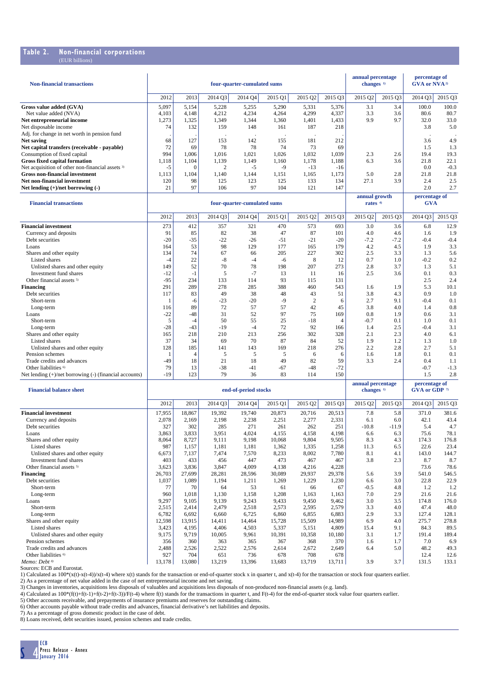### **Table 2. Non-financial corporations**

| <b>Non-financial transactions</b>                           |       |                                          |                      | four-quarter-cumulated sums |            |                |                | annual percentage<br>changes <sup>1)</sup> |         | percentage of<br>GVA or NVA <sup>2)</sup> |         |
|-------------------------------------------------------------|-------|------------------------------------------|----------------------|-----------------------------|------------|----------------|----------------|--------------------------------------------|---------|-------------------------------------------|---------|
|                                                             | 2012  | 2013                                     | 2014 Q3              | 2014 Q4                     | 2015 Q1    | 2015 Q2        | 2015 Q3        | 2015 Q2                                    | 2015 Q3 | 2014 Q3                                   | 2015 Q3 |
| Gross value added (GVA)                                     | 5,097 | 5,154                                    | 5,228                | 5,255                       | 5,290      | 5,331          | 5,376          | 3.1                                        | 3.4     | 100.0                                     | 100.0   |
| Net value added (NVA)                                       | 4,103 | 4,148                                    | 4,212                | 4,234                       | 4,264      | 4,299          | 4,337          | 3.3                                        | 3.6     | 80.6                                      | 80.7    |
| Net entrepreneurial income                                  | 1,273 | 1,325                                    | 1,349                | 1,344                       | 1,360      | 1,401          | 1,433          | 9.9                                        | 9.7     | 32.0                                      | 33.0    |
| Net disposable income                                       | 74    | 132                                      | 159                  | 148                         | 161        | 187            | 218            |                                            |         | 3.8                                       | 5.0     |
| Adj. for change in net worth in pension fund                |       |                                          | $\ddot{\phantom{a}}$ | $\lambda$                   | $\lambda$  |                |                |                                            |         |                                           |         |
| Net saving                                                  | 68    | 127                                      | 153                  | 142                         | 155        | 181            | 212            |                                            |         | 3.6                                       | 4.9     |
| Net capital transfers (receivable - payable)                | 72    | 69                                       | 78                   | 78                          | 74         | 73             | 69             |                                            |         | 1.5                                       | 1.3     |
| Consumption of fixed capital                                | 994   | 1,006                                    | 1,016                | 1,021                       | 1,026      | 1,032          | 1,039          | 2.3                                        | 2.6     | 19.4                                      | 19.3    |
| <b>Gross fixed capital formation</b>                        | 1,118 | 1,104                                    | 1,139                | 1.149                       | 1,160      | 1.178          | 1,188          | 6.3                                        | 3.6     | 21.8                                      | 22.1    |
| Net acquisition of other non-financial assets <sup>3)</sup> | $-5$  | $\Omega$                                 | 2                    | $-5$                        | $-9$       | $-13$          | $-16$          |                                            |         | 0.0                                       | $-0.3$  |
| <b>Gross non-financial investment</b>                       | 1.113 | 1.104                                    | 1.140                | 1.144                       | 1.151      | 1.165          | 1.173          | 5.0                                        | 2.8     | 21.8                                      | 21.8    |
| Net non-financial investment                                | 120   | 98                                       | 125                  | 123                         | 125        | 133            | 134            | 27.1                                       | 3.9     | 2.4                                       | 2.5     |
| Net lending $(+)/$ net borrowing $(-)$                      | 21    | 97                                       | 106                  | 97                          | 104        | 121            | 147            |                                            |         | 2.0                                       | 2.7     |
|                                                             |       |                                          |                      |                             |            |                |                | annual growth                              |         | percentage of                             |         |
| <b>Financial transactions</b>                               |       | rates $4$<br>four-quarter-cumulated sums |                      |                             | <b>GVA</b> |                |                |                                            |         |                                           |         |
|                                                             | 2012  | 2013                                     | 2014 03              | 2014 O <sub>4</sub>         | 2015 Q1    | 2015 02        | 2015 03        | 2015 Q2                                    | 2015 Q3 | 2014 03                                   | 2015 Q3 |
| <b>Financial investment</b>                                 | 273   | 412                                      | 357                  | 321                         | 470        | 573            | 693            | 3.0                                        | 3.6     | 6.8                                       | 12.9    |
| Currency and deposits                                       | 91    | 85                                       | 82                   | 38                          | 47         | 87             | 101            | 4.0                                        | 4.6     | 1.6                                       | 1.9     |
| Debt securities                                             | $-20$ | -35                                      | $-22$                | $-26$                       | -51        | $-21$          | $-20$          | $-7.2$                                     | $-7.2$  | $-0.4$                                    | $-0.4$  |
| Loans                                                       | 164   | 53                                       | 98                   | 129                         | 177        | 165            | 179            | 4.2                                        | 4.5     | 1.9                                       | 3.3     |
| Shares and other equity                                     | 134   | 74                                       | 67                   | 66                          | 205        | 227            | 302            | 2.5                                        | 3.3     | 1.3                                       | 5.6     |
| Listed shares                                               | $-4$  | 22                                       | $-8$                 | $-4$                        | $-6$       | 8              | 12             | 0.7                                        | 1.0     | $-0.2$                                    | 0.2     |
| Unlisted shares and other equity                            | 149   | 52                                       | 70                   | 78                          | 198        | 207            | 273            | 2.8                                        | 3.7     | 1.3                                       | 5.1     |
| Investment fund shares                                      | $-12$ | $-1$                                     | 5                    | $-7$                        | 13         | 11             | 16             | 2.5                                        | 3.6     | 0.1                                       | 0.3     |
| Other financial assets <sup>5)</sup>                        | $-95$ | 234                                      | 133                  | 114                         | 93         | 115            | 131            |                                            |         | 2.5                                       | 2.4     |
| Financing                                                   | 291   | 289                                      | 278                  | 285                         | 388        | 460            | 543            | 1.6                                        | 1.9     | 5.3                                       | 10.1    |
| Debt securities                                             | 117   | 83                                       | 49                   | 38                          | 48         | 43             | 51             | 3.8                                        | 4.3     | 0.9                                       | 1.0     |
| Short-term                                                  | 1     | -6                                       | $-23$                | $-20$                       | $-9$       | $\overline{2}$ | 6              | 2.7                                        | 9.1     | $-0.4$                                    | 0.1     |
| Long-term                                                   | 116   | 89                                       | 72                   | 57                          | 57         | 42             | 45             | 3.8                                        | 4.0     | 1.4                                       | 0.8     |
| Loans                                                       | $-22$ | $-48$                                    | 31                   | 52                          | 97         | 75             | 169            | 0.8                                        | 1.9     | 0.6                                       | 3.1     |
| Short-term                                                  | 5     | $-4$                                     | 50                   | 55                          | 25         | $-18$          | $\overline{4}$ | $-0.7$                                     | 0.1     | 1.0                                       | 0.1     |
| Long-term                                                   | $-28$ | $-43$                                    | $-19$                | $-4$                        | 72         | 92             | 166            | 1.4                                        | 2.5     | $-0.4$                                    | 3.1     |
| Shares and other equity                                     | 165   | 218                                      | 210                  | 213                         | 256        | 302            | 328            | 2.1                                        | 2.3     | 4.0                                       | 6.1     |
| Listed shares                                               | 37    | 34                                       | 69                   | 70                          | 87         | 84             | 52             | 1.9                                        | 1.2     | 1.3                                       | 1.0     |
| Unlisted shares and other equity                            | 128   | 185                                      | 141                  | 143                         | 169        | 218            | 276            | 2.2                                        | 2.8     | 2.7                                       | 5.1     |
| Pension schemes                                             | -1    | $\overline{4}$                           | 5                    | 5                           | 5          | 6              | 6              | 1.6                                        | 1.8     | 0.1                                       | 0.1     |
| Trade credits and advances                                  | $-49$ | 18                                       | 21                   | 18                          | 49         | 82             | 59             | 3.3                                        | 2.4     | 0.4                                       | 1.1     |
| Other liabilities <sup>6)</sup>                             | 79    | 13                                       | $-38$                | $-41$                       | -67        | $-48$          | $-72$          |                                            |         | $-0.7$                                    | $-1.3$  |
| Net lending $(+)/$ net borrowing $(-)$ (financial accounts) | $-19$ | 123                                      | 79                   | 36                          | 83         | 114            | 150            |                                            |         | 1.5                                       | 2.8     |

| <b>Financial halance sheet</b>       |        |        | end-of-period stocks | annual percentage<br>changes <sup>1)</sup> |         | percentage of<br>GVA or GDP $\sqrt[n]{ }$ |         |         |         |         |         |
|--------------------------------------|--------|--------|----------------------|--------------------------------------------|---------|-------------------------------------------|---------|---------|---------|---------|---------|
|                                      | 2012   | 2013   | 2014 Q3              | 2014 Q4                                    | 2015 Q1 | 2015 Q2                                   | 2015 Q3 | 2015 Q2 | 2015 Q3 | 2014 Q3 | 2015 Q3 |
| <b>Financial investment</b>          | 17,955 | 18,867 | 19,392               | 19,740                                     | 20,873  | 20,716                                    | 20,513  | 7.8     | 5.8     | 371.0   | 381.6   |
| Currency and deposits                | 2,078  | 2,169  | 2,198                | 2,238                                      | 2,251   | 2,277                                     | 2,331   | 6.1     | 6.0     | 42.1    | 43.4    |
| Debt securities                      | 327    | 302    | 285                  | 271                                        | 261     | 262                                       | 251     | $-10.8$ | $-11.9$ | 5.4     | 4.7     |
| Loans                                | 3,863  | 3,833  | 3,951                | 4,024                                      | 4,155   | 4,158                                     | 4,198   | 6.6     | 6.3     | 75.6    | 78.1    |
| Shares and other equity              | 8,064  | 8,727  | 9,111                | 9,198                                      | 10,068  | 9,804                                     | 9,505   | 8.3     | 4.3     | 174.3   | 176.8   |
| Listed shares                        | 987    | 1,157  | 1,181                | 1,181                                      | 1,362   | 1,335                                     | 1,258   | 11.3    | 6.5     | 22.6    | 23.4    |
| Unlisted shares and other equity     | 6,673  | 7,137  | 7,474                | 7,570                                      | 8,233   | 8,002                                     | 7,780   | 8.1     | 4.1     | 143.0   | 144.7   |
| Investment fund shares               | 403    | 433    | 456                  | 447                                        | 473     | 467                                       | 467     | 3.8     | 2.3     | 8.7     | 8.7     |
| Other financial assets <sup>5)</sup> | 3,623  | 3,836  | 3,847                | 4,009                                      | 4,138   | 4,216                                     | 4,228   |         |         | 73.6    | 78.6    |
| <b>Financing</b>                     | 26,703 | 27,699 | 28,281               | 28,596                                     | 30,089  | 29,937                                    | 29,378  | 5.6     | 3.9     | 541.0   | 546.5   |
| Debt securities                      | 1,037  | 1,089  | 1,194                | 1,211                                      | 1,269   | 1,229                                     | 1,230   | 6.6     | 3.0     | 22.8    | 22.9    |
| Short-term                           | 77     | 70     | 64                   | 53                                         | 61      | 66                                        | 67      | $-0.5$  | 4.8     | 1.2     | 1.2     |
| Long-term                            | 960    | 1,018  | 1,130                | 1,158                                      | 1,208   | 1,163                                     | 1,163   | 7.0     | 2.9     | 21.6    | 21.6    |
| Loans                                | 9,297  | 9,105  | 9,139                | 9,243                                      | 9,433   | 9,450                                     | 9,462   | 3.0     | 3.5     | 174.8   | 176.0   |
| Short-term                           | 2,515  | 2,414  | 2,479                | 2,518                                      | 2,573   | 2,595                                     | 2,579   | 3.3     | 4.0     | 47.4    | 48.0    |
| Long-term                            | 6,782  | 6,692  | 6.660                | 6,725                                      | 6,860   | 6,855                                     | 6,883   | 2.9     | 3.3     | 127.4   | 128.1   |
| Shares and other equity              | 12,598 | 13,915 | 14.411               | 14,464                                     | 15,728  | 15,509                                    | 14,989  | 6.9     | 4.0     | 275.7   | 278.8   |
| Listed shares                        | 3,423  | 4,195  | 4.406                | 4,503                                      | 5,337   | 5,151                                     | 4,809   | 15.4    | 9.1     | 84.3    | 89.5    |
| Unlisted shares and other equity     | 9,175  | 9,719  | 10,005               | 9,961                                      | 10,391  | 10,358                                    | 10,180  | 3.1     | 1.7     | 191.4   | 189.4   |
| Pension schemes                      | 356    | 360    | 363                  | 365                                        | 367     | 368                                       | 370     | 1.6     | 1.7     | 7.0     | 6.9     |
| Trade credits and advances           | 2,488  | 2,526  | 2,522                | 2,576                                      | 2,614   | 2,672                                     | 2,649   | 6.4     | 5.0     | 48.2    | 49.3    |
| Other liabilities <sup>6)</sup>      | 927    | 704    | 651                  | 736                                        | 678     | 708                                       | 678     |         |         | 12.4    | 12.6    |
| Memo: Debt <sup>8)</sup>             | 13,178 | 13,080 | 13,219               | 13,396                                     | 13,683  | 13,719                                    | 13,711  | 3.9     | 3.7     | 131.5   | 133.1   |

Sources: ECB and Eurostat.

1) Calculated as 100\*(x(t)-x(t-4))/x(t-4) where x(t) stands for the transaction or end-of-quarter stock x in quarter t, and x(t-4) for the transaction or stock four quarters earlier.<br>2) As a percentage of net value added i

4) Calculated as  $100*(f(t)+f(t-1)+f(t-2)+f(t-3))$ /F(t-4) where  $f(t)$  stands for the transactions in quarter t, and F(t-4) for the end-of-quarter stock value four quarters earlier.

5) Other accounts receivable, and prepayments of insurance premiums and reserves for outstanding claims.

6) Other accounts payable without trade credits and advances, financial derivative's net liabilities and deposits.<br>7) As a percentage of gross domestic product in the case of debt.<br>8) Loans received, debt securities issued

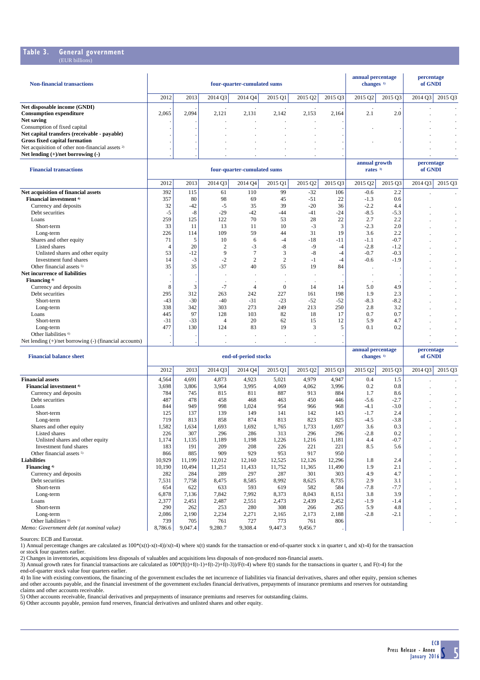#### **Table 3. General government** (EUR billions)

| <b>Non-financial transactions</b>                           |       |       | four-quarter-cumulated sums | annual percentage<br>changes $1$ |        | percentage<br>of GNDI |         |         |         |                     |                |
|-------------------------------------------------------------|-------|-------|-----------------------------|----------------------------------|--------|-----------------------|---------|---------|---------|---------------------|----------------|
|                                                             | 2012  | 2013  | 2014 Q3                     | 2014 Q4                          | 201501 | 2015 Q2               | 2015 Q3 | 2015 Q2 | 2015 03 | 2014 O <sub>3</sub> | 2015 Q3        |
| Net disposable income (GNDI)                                |       |       |                             |                                  |        |                       |         |         |         |                     |                |
| <b>Consumption expenditure</b>                              | 2,065 | 2.094 | 2.121                       | 2,131                            | 2.142  | 2.153                 | 2.164   | 2.1     | 2.0     |                     |                |
| Net saving                                                  |       |       |                             |                                  |        |                       |         |         |         |                     |                |
| Consumption of fixed capital                                |       |       |                             |                                  |        |                       |         |         |         |                     | $\blacksquare$ |
| Net capital transfers (receivable - payable)                |       |       |                             |                                  |        |                       |         |         |         |                     | $\blacksquare$ |
| Gross fixed capital formation                               |       |       |                             |                                  |        |                       |         |         |         |                     | $\blacksquare$ |
| Net acquisition of other non-financial assets <sup>2)</sup> |       |       |                             |                                  |        |                       |         |         |         |                     | . .            |
| Net lending $(+)/$ net borrowing $(-)$                      |       |       |                             |                                  |        |                       |         |         |         |                     | . .            |

| <b>Financial transactions</b>                               |       |       | four-quarter-cumulated sums | annual growth<br>rates <sup>3</sup> |                | percentage<br>of GNDI |         |         |         |         |           |
|-------------------------------------------------------------|-------|-------|-----------------------------|-------------------------------------|----------------|-----------------------|---------|---------|---------|---------|-----------|
|                                                             | 2012  | 2013  | 2014 Q3                     | 2014 Q4                             | 2015 Q1        | 2015 Q2               | 2015 Q3 | 2015 Q2 | 2015 Q3 | 2014 Q3 | 2015 Q3   |
| Net acquisition of financial assets                         | 392   | 115   | 61                          | 110                                 | 99             | $-32$                 | 106     | $-0.6$  | 2.2     |         |           |
| Financial investment <sup>4)</sup>                          | 357   | 80    | 98                          | 69                                  | 45             | $-51$                 | 22      | $-1.3$  | 0.6     |         |           |
| Currency and deposits                                       | 32    | $-42$ | $-5$                        | 35                                  | 39             | $-20$                 | 36      | $-2.2$  | 4.4     |         |           |
| Debt securities                                             | $-5$  | $-8$  | $-29$                       | $-42$                               | $-44$          | $-41$                 | $-24$   | $-8.5$  | $-5.3$  |         | $\sim$    |
| Loans                                                       | 259   | 125   | 122                         | 70                                  | 53             | 28                    | 22      | 2.7     | 2.2     |         |           |
| Short-term                                                  | 33    | 11    | 13                          | 11                                  | 10             | $-3$                  | 3       | $-2.3$  | 2.0     |         |           |
| Long-term                                                   | 226   | 114   | 109                         | 59                                  | 44             | 31                    | 19      | 3.6     | 2.2     |         | $\sim$    |
| Shares and other equity                                     | 71    |       | 10                          | 6                                   | $-4$           | $-18$                 | $-11$   | $-1.1$  | $-0.7$  |         | $\bullet$ |
| <b>Listed shares</b>                                        |       | 20    | $\overline{2}$              | $-3$                                | $-8$           | $-9$                  | $-4$    | $-2.8$  | $-1.2$  |         | $\cdot$   |
| Unlisted shares and other equity                            | 53    | $-12$ | 9                           |                                     | 3              | $-8$                  | $-4$    | $-0.7$  | $-0.3$  |         | $\bullet$ |
| Investment fund shares                                      | 14    | $-3$  | $-2$                        | $\mathfrak{2}$                      | $\overline{2}$ | $-1$                  | $-4$    | $-0.6$  | $-1.9$  |         | $\bullet$ |
| Other financial assets <sup>5)</sup>                        | 35    | 35    | $-37$                       | 40                                  | 55             | 19                    | 84      |         |         |         | $\bullet$ |
| Net incurrence of liabilities                               |       |       |                             |                                     |                | $\cdot$               |         |         |         |         | $\bullet$ |
| Financing <sup>4)</sup>                                     |       |       |                             |                                     |                |                       |         |         |         |         | $\sim$    |
| Currency and deposits                                       | 8     | 3     | $-7$                        |                                     | $\theta$       | 14                    | 14      | 5.0     | 4.9     |         | $\sim$    |
| Debt securities                                             | 295   | 312   | 263                         | 242                                 | 227            | 161                   | 198     | 1.9     | 2.3     |         | $\sim$    |
| Short-term                                                  | $-43$ | $-30$ | $-40$                       | $-31$                               | $-23$          | $-52$                 | $-52$   | $-8.3$  | $-8.2$  |         | $\sim$    |
| Long-term                                                   | 338   | 342   | 303                         | 273                                 | 249            | 213                   | 250     | 2.8     | 3.2     |         | $\cdot$   |
| Loans                                                       | 445   | 97    | 128                         | 103                                 | 82             | 18                    | 17      | 0.7     | 0.7     |         | $\bullet$ |
| Short-term                                                  | $-31$ | $-33$ |                             | 20                                  | 62             | 15                    | 12      | 5.9     | 4.7     |         | $\sim$    |
| Long-term                                                   | 477   | 130   | 124                         | 83                                  | 19             | 3                     |         | 0.1     | 0.2     |         | $\sim$    |
| Other liabilities <sup>6)</sup>                             |       |       |                             |                                     |                |                       |         |         |         |         | $\cdot$   |
| Net lending $(+)/$ net borrowing $(-)$ (financial accounts) |       |       |                             |                                     |                |                       |         |         |         |         | $\sim$    |

| <b>Financial balance sheet</b>           | end-of-period stocks |         |         |         |         |         |         |         | changes <sup>1)</sup> |         | of GNDI |  |
|------------------------------------------|----------------------|---------|---------|---------|---------|---------|---------|---------|-----------------------|---------|---------|--|
|                                          | 2012                 | 2013    | 2014Q3  | 2014 Q4 | 2015 Q1 | 2015 Q2 | 2015 Q3 | 2015 Q2 | 2015 Q3               | 2014 Q3 | 2015 Q3 |  |
| <b>Financial assets</b>                  | 4,564                | 4,691   | 4,873   | 4,923   | 5,021   | 4,979   | 4,947   | 0.4     | 1.5                   |         |         |  |
| Financial investment <sup>4)</sup>       | 3,698                | 3,806   | 3,964   | 3,995   | 4,069   | 4,062   | 3,996   | 0.2     | 0.8                   |         |         |  |
| Currency and deposits                    | 784                  | 745     | 815     | 811     | 887     | 913     | 884     | 1.7     | 8.6                   |         |         |  |
| Debt securities                          | 487                  | 478     | 458     | 468     | 463     | 450     | 446     | $-5.6$  | $-2.7$                |         |         |  |
| Loans                                    | 844                  | 949     | 998     | 1,024   | 954     | 966     | 968     | $-4.1$  | $-3.0$                |         |         |  |
| Short-term                               | 125                  | 137     | 139     | 149     | 141     | 142     | 143     | $-1.7$  | 2.4                   |         | ٠       |  |
| Long-term                                | 719                  | 813     | 858     | 874     | 813     | 823     | 825     | $-4.5$  | $-3.8$                |         |         |  |
| Shares and other equity                  | 1,582                | 1,634   | 1,693   | 1,692   | 1,765   | 1,733   | 1,697   | 3.6     | 0.3                   |         |         |  |
| Listed shares                            | 226                  | 307     | 296     | 286     | 313     | 296     | 296     | $-2.8$  | 0.2                   |         |         |  |
| Unlisted shares and other equity         | 1,174                | 1,135   | 1,189   | 1,198   | 1,226   | 1,216   | 1,181   | 4.4     | $-0.7$                |         |         |  |
| Investment fund shares                   | 183                  | 191     | 209     | 208     | 226     | 221     | 221     | 8.5     | 5.6                   |         |         |  |
| Other financial assets <sup>5)</sup>     | 866                  | 885     | 909     | 929     | 953     | 917     | 950     |         |                       |         |         |  |
| <b>Liabilities</b>                       | 10,929               | 11,199  | 12,012  | 12,160  | 12,525  | 12,126  | 12,296  | 1.8     | 2.4                   |         |         |  |
| Financing <sup>4)</sup>                  | 10,190               | 10,494  | 11,251  | 11,433  | 11,752  | 11,365  | 11,490  | 1.9     | 2.1                   |         |         |  |
| Currency and deposits                    | 282                  | 284     | 289     | 297     | 287     | 301     | 303     | 4.9     | 4.7                   |         |         |  |
| Debt securities                          | 7,531                | 7,758   | 8,475   | 8,585   | 8,992   | 8,625   | 8,735   | 2.9     | 3.1                   |         |         |  |
| Short-term                               | 654                  | 622     | 633     | 593     | 619     | 582     | 584     | $-7.8$  | $-7.7$                |         | ٠       |  |
| Long-term                                | 6,878                | 7,136   | 7,842   | 7,992   | 8,373   | 8,043   | 8,151   | 3.8     | 3.9                   |         | ٠       |  |
| Loans                                    | 2,377                | 2,451   | 2,487   | 2,551   | 2,473   | 2,439   | 2,452   | $-1.9$  | $-1.4$                |         | ٠       |  |
| Short-term                               | 290                  | 262     | 253     | 280     | 308     | 266     | 265     | 5.9     | 4.8                   |         |         |  |
| Long-term                                | 2,086                | 2,190   | 2,234   | 2,271   | 2,165   | 2,173   | 2,188   | $-2.8$  | $-2.1$                |         |         |  |
| Other liabilities 6                      | 739                  | 705     | 761     | 727     | 773     | 761     | 806     |         |                       |         |         |  |
| Memo: Government debt (at nominal value) | 8,786.6              | 9,047.4 | 9,280.7 | 9,308.4 | 9,447.3 | 9,456.7 |         |         |                       |         |         |  |

Sources: ECB and Eurostat.

1) Annual percentage changes are calculated as 100\*(x(t)-x(t-4))/x(t-4) where x(t) stands for the transaction or end-of-quarter stock x in quarter t, and x(t-4) for the transaction or stock four quarters earlier.<br>2) Changes in inventories, acquisitions less disposals of valuables and acquisitions less disposals of non-produced non-financial assets.<br>3) Annual growth rates for financial transactions ar

end-of-quarter stock value four quarters earlier.

4) In line with existing conventions, the financing of the government excludes the net incurrence of liabilities via financial derivatives, shares and other equity, pension schemes and other accounts payable, and the financial investment of the government excludes financial derivatives, prepayments of insurance premiums and reserves for outstanding claims and other accounts receivable.

5) Other accounts receivable, financial derivatives and prepayments of insurance premiums and reserves for outstanding claims.<br>6) Other accounts payable, pension fund reserves, financial derivatives and unlisted shares and

**annual percentage** percentage